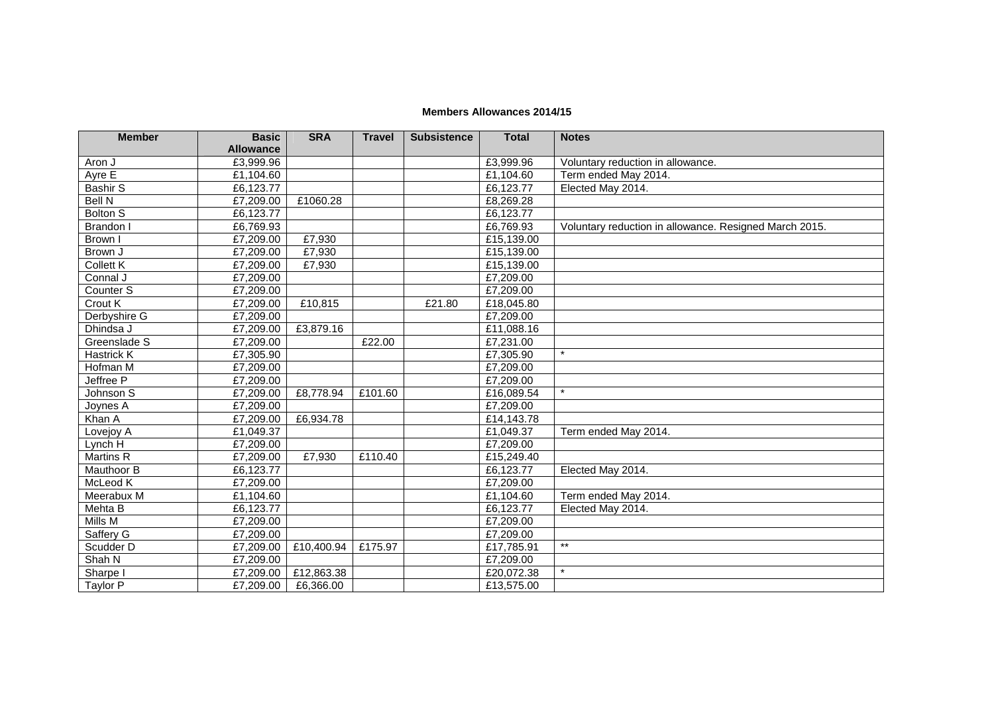## **Members Allowances 2014/15**

| <b>Member</b>        | <b>Basic</b>     | <b>SRA</b> | <b>Travel</b> | <b>Subsistence</b>         | <b>Total</b> | <b>Notes</b>                                           |
|----------------------|------------------|------------|---------------|----------------------------|--------------|--------------------------------------------------------|
|                      | <b>Allowance</b> |            |               |                            |              |                                                        |
| Aron J               | £3,999.96        |            |               |                            | £3,999.96    | Voluntary reduction in allowance.                      |
| Ayre E               | £1,104.60        |            |               |                            | £1,104.60    | Term ended May 2014.                                   |
| <b>Bashir S</b>      | £6,123.77        |            |               |                            | £6,123.77    | Elected May 2014.                                      |
| <b>Bell N</b>        | £7,209.00        | £1060.28   |               |                            | £8,269.28    |                                                        |
| <b>Bolton S</b>      | £6,123.77        |            |               |                            | £6,123.77    |                                                        |
| <b>Brandon</b> I     | £6,769.93        |            |               |                            | £6,769.93    | Voluntary reduction in allowance. Resigned March 2015. |
| Brown I              | £7,209.00        | £7,930     |               |                            | £15,139.00   |                                                        |
| Brown J              | £7,209.00        | £7,930     |               |                            | £15,139.00   |                                                        |
| Collett K            | £7,209.00        | £7,930     |               |                            | £15,139.00   |                                                        |
| Connal J             | £7,209.00        |            |               |                            | £7,209.00    |                                                        |
| Counter <sub>S</sub> | £7,209.00        |            |               |                            | £7,209.00    |                                                        |
| Crout K              | £7,209.00        | £10,815    |               | $\overline{\text{£}}21.80$ | £18,045.80   |                                                        |
| Derbyshire G         | £7,209.00        |            |               |                            | £7,209.00    |                                                        |
| Dhindsa J            | £7,209.00        | £3,879.16  |               |                            | £11,088.16   |                                                        |
| Greenslade S         | £7,209.00        |            | £22.00        |                            | £7,231.00    |                                                        |
| <b>Hastrick K</b>    | £7,305.90        |            |               |                            | £7,305.90    | $\star$                                                |
| Hofman M             | £7,209.00        |            |               |                            | £7,209.00    |                                                        |
| <b>Jeffree P</b>     | £7,209.00        |            |               |                            | £7,209.00    |                                                        |
| Johnson S            | £7,209.00        | £8,778.94  | £101.60       |                            | £16,089.54   | $\star$                                                |
| Joynes A             | £7,209.00        |            |               |                            | £7,209.00    |                                                        |
| Khan A               | £7,209.00        | £6,934.78  |               |                            | £14,143.78   |                                                        |
| Lovejoy A            | £1,049.37        |            |               |                            | £1,049.37    | Term ended May 2014.                                   |
| Lynch H              | £7,209.00        |            |               |                            | £7,209.00    |                                                        |
| <b>Martins R</b>     | £7,209.00        | £7,930     | £110.40       |                            | £15,249.40   |                                                        |
| Mauthoor B           | £6,123.77        |            |               |                            | £6,123.77    | Elected May 2014.                                      |
| McLeod K             | £7,209.00        |            |               |                            | £7,209.00    |                                                        |
| Meerabux M           | £1,104.60        |            |               |                            | £1,104.60    | Term ended May 2014.                                   |
| Mehta B              | £6,123.77        |            |               |                            | £6,123.77    | Elected May 2014.                                      |
| Mills M              | £7,209.00        |            |               |                            | £7,209.00    |                                                        |
| Saffery G            | £7,209.00        |            |               |                            | £7,209.00    |                                                        |
| Scudder D            | £7,209.00        | £10,400.94 | £175.97       |                            | £17,785.91   | $***$                                                  |
| Shah N               | £7,209.00        |            |               |                            | £7,209.00    |                                                        |
| Sharpe I             | £7,209.00        | £12,863.38 |               |                            | £20,072.38   | $\star$                                                |
| Taylor P             | £7,209.00        | £6,366.00  |               |                            | £13,575.00   |                                                        |